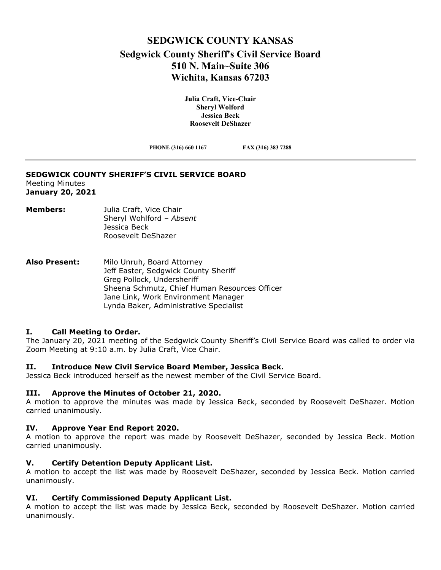# **SEDGWICK COUNTY KANSAS Sedgwick County Sheriff's Civil Service Board 510 N. Main~Suite 306 Wichita, Kansas 67203**

**Julia Craft, Vice-Chair Sheryl Wolford Jessica Beck Roosevelt DeShazer**

**PHONE (316) 660 1167 FAX (316) 383 7288**

#### **SEDGWICK COUNTY SHERIFF'S CIVIL SERVICE BOARD** Meeting Minutes **January 20, 2021**

- **Members:** Julia Craft, Vice Chair Sheryl Wohlford – *Absent* Jessica Beck Roosevelt DeShazer
- **Also Present:** Milo Unruh, Board Attorney Jeff Easter, Sedgwick County Sheriff Greg Pollock, Undersheriff Sheena Schmutz, Chief Human Resources Officer Jane Link, Work Environment Manager Lynda Baker, Administrative Specialist

## **I. Call Meeting to Order.**

The January 20, 2021 meeting of the Sedgwick County Sheriff's Civil Service Board was called to order via Zoom Meeting at 9:10 a.m. by Julia Craft, Vice Chair.

## **II. Introduce New Civil Service Board Member, Jessica Beck.**

Jessica Beck introduced herself as the newest member of the Civil Service Board.

## **III. Approve the Minutes of October 21, 2020.**

A motion to approve the minutes was made by Jessica Beck, seconded by Roosevelt DeShazer. Motion carried unanimously.

## **IV. Approve Year End Report 2020.**

A motion to approve the report was made by Roosevelt DeShazer, seconded by Jessica Beck. Motion carried unanimously.

## **V. Certify Detention Deputy Applicant List.**

A motion to accept the list was made by Roosevelt DeShazer, seconded by Jessica Beck. Motion carried unanimously.

## **VI. Certify Commissioned Deputy Applicant List.**

A motion to accept the list was made by Jessica Beck, seconded by Roosevelt DeShazer. Motion carried unanimously.